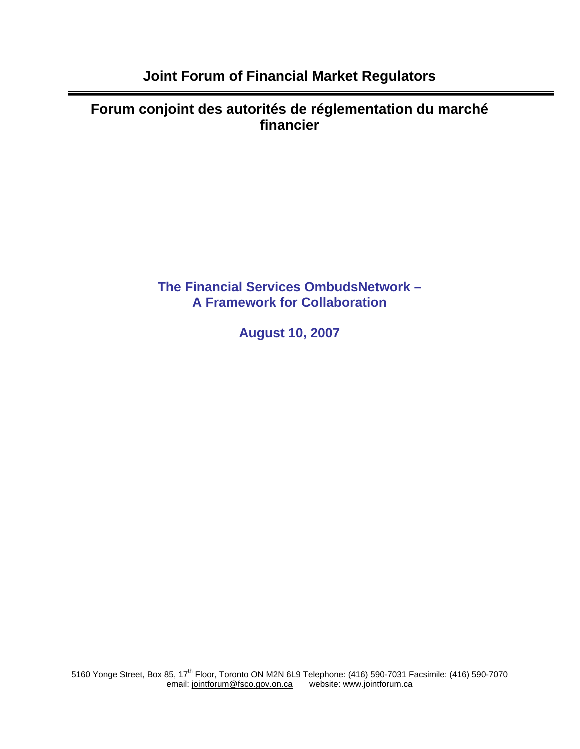**Forum conjoint des autorités de réglementation du marché financier** 

> **The Financial Services OmbudsNetwork – A Framework for Collaboration**

> > **August 10, 2007**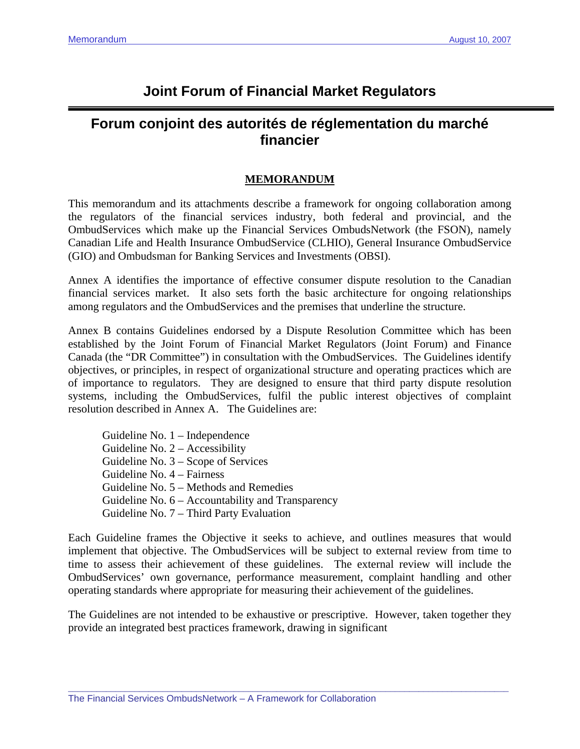# **Joint Forum of Financial Market Regulators**

# **Forum conjoint des autorités de réglementation du marché financier**

# **MEMORANDUM**

This memorandum and its attachments describe a framework for ongoing collaboration among the regulators of the financial services industry, both federal and provincial, and the OmbudServices which make up the Financial Services OmbudsNetwork (the FSON), namely Canadian Life and Health Insurance OmbudService (CLHIO), General Insurance OmbudService (GIO) and Ombudsman for Banking Services and Investments (OBSI).

Annex A identifies the importance of effective consumer dispute resolution to the Canadian financial services market. It also sets forth the basic architecture for ongoing relationships among regulators and the OmbudServices and the premises that underline the structure.

Annex B contains Guidelines endorsed by a Dispute Resolution Committee which has been established by the Joint Forum of Financial Market Regulators (Joint Forum) and Finance Canada (the "DR Committee") in consultation with the OmbudServices. The Guidelines identify objectives, or principles, in respect of organizational structure and operating practices which are of importance to regulators. They are designed to ensure that third party dispute resolution systems, including the OmbudServices, fulfil the public interest objectives of complaint resolution described in Annex A. The Guidelines are:

 Guideline No. 1 – Independence Guideline No. 2 – Accessibility Guideline No. 3 – Scope of Services Guideline No. 4 – Fairness Guideline No. 5 – Methods and Remedies Guideline No. 6 – Accountability and Transparency Guideline No. 7 – Third Party Evaluation

Each Guideline frames the Objective it seeks to achieve, and outlines measures that would implement that objective. The OmbudServices will be subject to external review from time to time to assess their achievement of these guidelines. The external review will include the OmbudServices' own governance, performance measurement, complaint handling and other operating standards where appropriate for measuring their achievement of the guidelines.

The Guidelines are not intended to be exhaustive or prescriptive. However, taken together they provide an integrated best practices framework, drawing in significant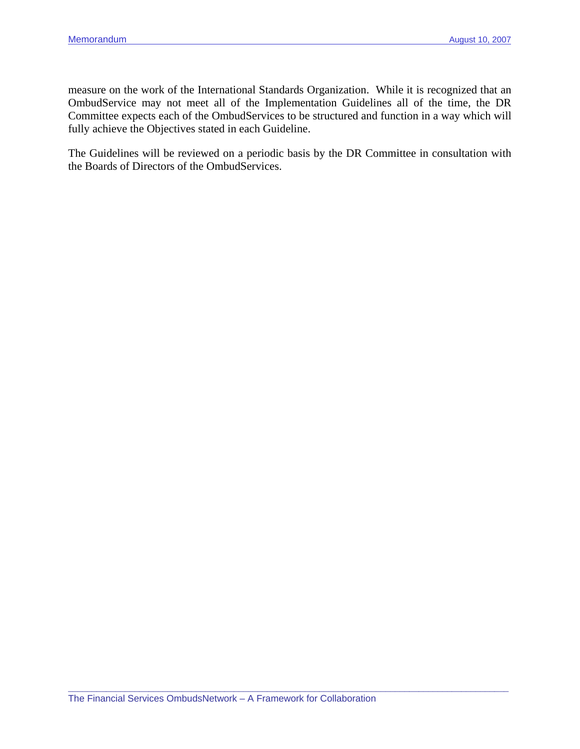measure on the work of the International Standards Organization. While it is recognized that an OmbudService may not meet all of the Implementation Guidelines all of the time, the DR Committee expects each of the OmbudServices to be structured and function in a way which will fully achieve the Objectives stated in each Guideline.

The Guidelines will be reviewed on a periodic basis by the DR Committee in consultation with the Boards of Directors of the OmbudServices.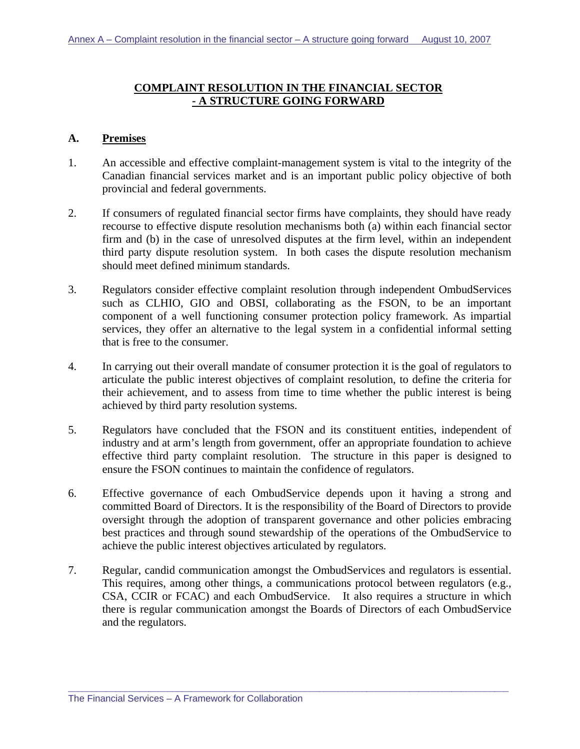# **COMPLAINT RESOLUTION IN THE FINANCIAL SECTOR - A STRUCTURE GOING FORWARD**

## **A. Premises**

- 1. An accessible and effective complaint-management system is vital to the integrity of the Canadian financial services market and is an important public policy objective of both provincial and federal governments.
- 2. If consumers of regulated financial sector firms have complaints, they should have ready recourse to effective dispute resolution mechanisms both (a) within each financial sector firm and (b) in the case of unresolved disputes at the firm level, within an independent third party dispute resolution system. In both cases the dispute resolution mechanism should meet defined minimum standards.
- 3. Regulators consider effective complaint resolution through independent OmbudServices such as CLHIO, GIO and OBSI, collaborating as the FSON, to be an important component of a well functioning consumer protection policy framework. As impartial services, they offer an alternative to the legal system in a confidential informal setting that is free to the consumer.
- 4. In carrying out their overall mandate of consumer protection it is the goal of regulators to articulate the public interest objectives of complaint resolution, to define the criteria for their achievement, and to assess from time to time whether the public interest is being achieved by third party resolution systems.
- 5. Regulators have concluded that the FSON and its constituent entities, independent of industry and at arm's length from government, offer an appropriate foundation to achieve effective third party complaint resolution. The structure in this paper is designed to ensure the FSON continues to maintain the confidence of regulators.
- 6. Effective governance of each OmbudService depends upon it having a strong and committed Board of Directors. It is the responsibility of the Board of Directors to provide oversight through the adoption of transparent governance and other policies embracing best practices and through sound stewardship of the operations of the OmbudService to achieve the public interest objectives articulated by regulators.
- 7. Regular, candid communication amongst the OmbudServices and regulators is essential. This requires, among other things, a communications protocol between regulators (e.g., CSA, CCIR or FCAC) and each OmbudService. It also requires a structure in which there is regular communication amongst the Boards of Directors of each OmbudService and the regulators.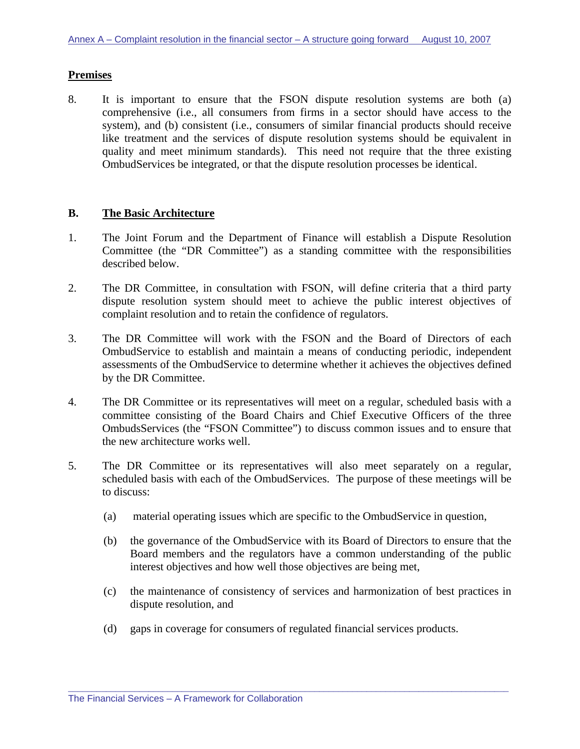## **Premises**

8. It is important to ensure that the FSON dispute resolution systems are both (a) comprehensive (i.e., all consumers from firms in a sector should have access to the system), and (b) consistent (i.e., consumers of similar financial products should receive like treatment and the services of dispute resolution systems should be equivalent in quality and meet minimum standards). This need not require that the three existing OmbudServices be integrated, or that the dispute resolution processes be identical.

### **B. The Basic Architecture**

- 1. The Joint Forum and the Department of Finance will establish a Dispute Resolution Committee (the "DR Committee") as a standing committee with the responsibilities described below.
- 2. The DR Committee, in consultation with FSON, will define criteria that a third party dispute resolution system should meet to achieve the public interest objectives of complaint resolution and to retain the confidence of regulators.
- 3. The DR Committee will work with the FSON and the Board of Directors of each OmbudService to establish and maintain a means of conducting periodic, independent assessments of the OmbudService to determine whether it achieves the objectives defined by the DR Committee.
- 4. The DR Committee or its representatives will meet on a regular, scheduled basis with a committee consisting of the Board Chairs and Chief Executive Officers of the three OmbudsServices (the "FSON Committee") to discuss common issues and to ensure that the new architecture works well.
- 5. The DR Committee or its representatives will also meet separately on a regular, scheduled basis with each of the OmbudServices. The purpose of these meetings will be to discuss:
	- (a) material operating issues which are specific to the OmbudService in question,
	- (b) the governance of the OmbudService with its Board of Directors to ensure that the Board members and the regulators have a common understanding of the public interest objectives and how well those objectives are being met,
	- (c) the maintenance of consistency of services and harmonization of best practices in dispute resolution, and
	- (d) gaps in coverage for consumers of regulated financial services products.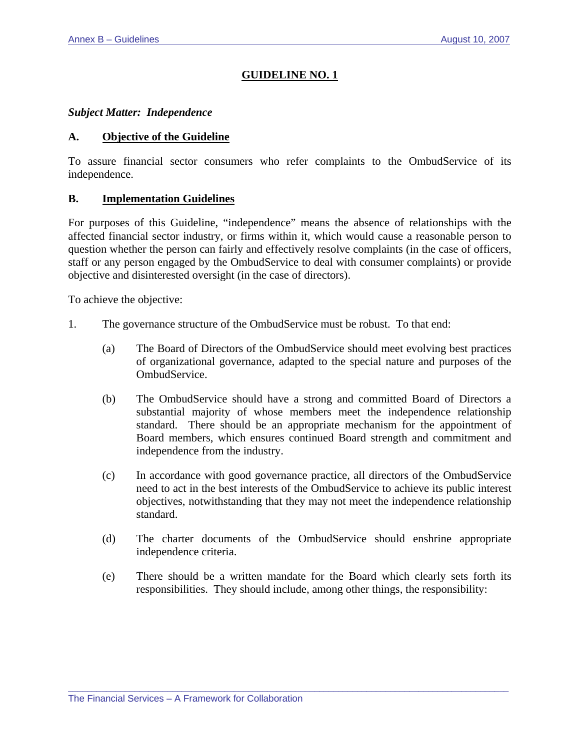### *Subject Matter: Independence*

### **A. Objective of the Guideline**

To assure financial sector consumers who refer complaints to the OmbudService of its independence.

### **B. Implementation Guidelines**

For purposes of this Guideline, "independence" means the absence of relationships with the affected financial sector industry, or firms within it, which would cause a reasonable person to question whether the person can fairly and effectively resolve complaints (in the case of officers, staff or any person engaged by the OmbudService to deal with consumer complaints) or provide objective and disinterested oversight (in the case of directors).

To achieve the objective:

- 1. The governance structure of the OmbudService must be robust. To that end:
	- (a) The Board of Directors of the OmbudService should meet evolving best practices of organizational governance, adapted to the special nature and purposes of the OmbudService.
	- (b) The OmbudService should have a strong and committed Board of Directors a substantial majority of whose members meet the independence relationship standard. There should be an appropriate mechanism for the appointment of Board members, which ensures continued Board strength and commitment and independence from the industry.
	- (c) In accordance with good governance practice, all directors of the OmbudService need to act in the best interests of the OmbudService to achieve its public interest objectives, notwithstanding that they may not meet the independence relationship standard.
	- (d) The charter documents of the OmbudService should enshrine appropriate independence criteria.
	- (e) There should be a written mandate for the Board which clearly sets forth its responsibilities. They should include, among other things, the responsibility: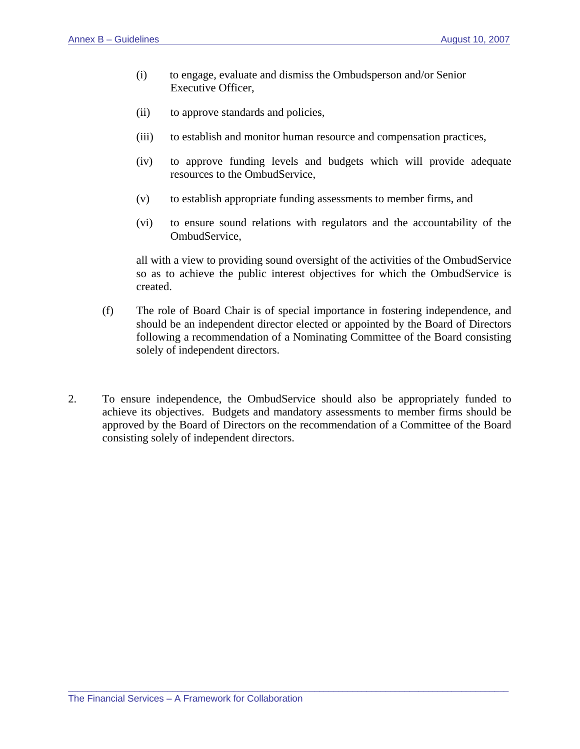- (i) to engage, evaluate and dismiss the Ombudsperson and/or Senior Executive Officer,
- (ii) to approve standards and policies,
- (iii) to establish and monitor human resource and compensation practices,
- (iv) to approve funding levels and budgets which will provide adequate resources to the OmbudService,
- (v) to establish appropriate funding assessments to member firms, and
- (vi) to ensure sound relations with regulators and the accountability of the OmbudService,

all with a view to providing sound oversight of the activities of the OmbudService so as to achieve the public interest objectives for which the OmbudService is created.

- (f) The role of Board Chair is of special importance in fostering independence, and should be an independent director elected or appointed by the Board of Directors following a recommendation of a Nominating Committee of the Board consisting solely of independent directors.
- 2. To ensure independence, the OmbudService should also be appropriately funded to achieve its objectives. Budgets and mandatory assessments to member firms should be approved by the Board of Directors on the recommendation of a Committee of the Board consisting solely of independent directors.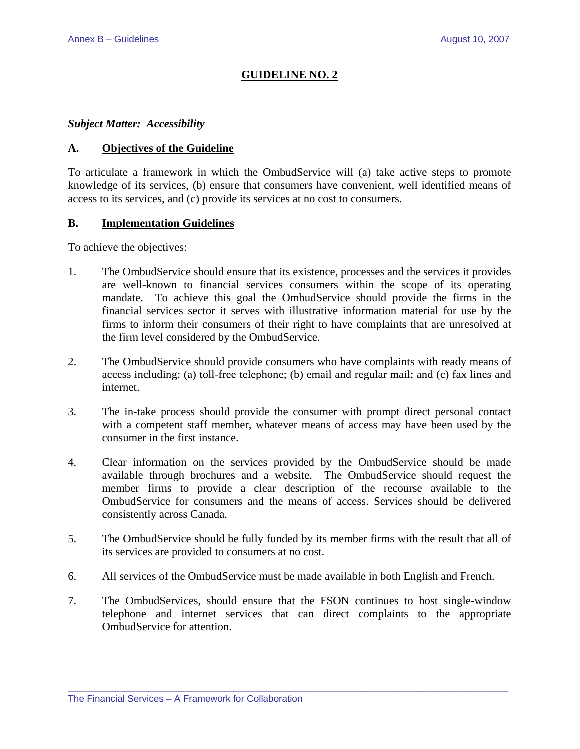#### *Subject Matter: Accessibility*

### **A. Objectives of the Guideline**

To articulate a framework in which the OmbudService will (a) take active steps to promote knowledge of its services, (b) ensure that consumers have convenient, well identified means of access to its services, and (c) provide its services at no cost to consumers.

#### **B. Implementation Guidelines**

To achieve the objectives:

- 1. The OmbudService should ensure that its existence, processes and the services it provides are well-known to financial services consumers within the scope of its operating mandate. To achieve this goal the OmbudService should provide the firms in the financial services sector it serves with illustrative information material for use by the firms to inform their consumers of their right to have complaints that are unresolved at the firm level considered by the OmbudService.
- 2. The OmbudService should provide consumers who have complaints with ready means of access including: (a) toll-free telephone; (b) email and regular mail; and (c) fax lines and internet.
- 3. The in-take process should provide the consumer with prompt direct personal contact with a competent staff member, whatever means of access may have been used by the consumer in the first instance.
- 4. Clear information on the services provided by the OmbudService should be made available through brochures and a website. The OmbudService should request the member firms to provide a clear description of the recourse available to the OmbudService for consumers and the means of access. Services should be delivered consistently across Canada.
- 5. The OmbudService should be fully funded by its member firms with the result that all of its services are provided to consumers at no cost.
- 6. All services of the OmbudService must be made available in both English and French.
- 7. The OmbudServices, should ensure that the FSON continues to host single-window telephone and internet services that can direct complaints to the appropriate OmbudService for attention.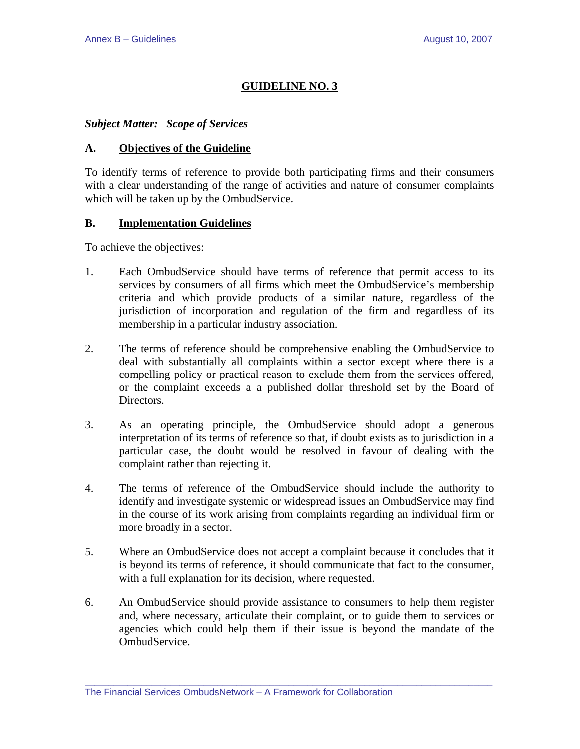*Subject Matter: Scope of Services* 

### **A. Objectives of the Guideline**

To identify terms of reference to provide both participating firms and their consumers with a clear understanding of the range of activities and nature of consumer complaints which will be taken up by the OmbudService.

### **B. Implementation Guidelines**

To achieve the objectives:

- 1. Each OmbudService should have terms of reference that permit access to its services by consumers of all firms which meet the OmbudService's membership criteria and which provide products of a similar nature, regardless of the jurisdiction of incorporation and regulation of the firm and regardless of its membership in a particular industry association.
- 2. The terms of reference should be comprehensive enabling the OmbudService to deal with substantially all complaints within a sector except where there is a compelling policy or practical reason to exclude them from the services offered, or the complaint exceeds a a published dollar threshold set by the Board of Directors.
- 3. As an operating principle, the OmbudService should adopt a generous interpretation of its terms of reference so that, if doubt exists as to jurisdiction in a particular case, the doubt would be resolved in favour of dealing with the complaint rather than rejecting it.
- 4. The terms of reference of the OmbudService should include the authority to identify and investigate systemic or widespread issues an OmbudService may find in the course of its work arising from complaints regarding an individual firm or more broadly in a sector.
- 5. Where an OmbudService does not accept a complaint because it concludes that it is beyond its terms of reference, it should communicate that fact to the consumer, with a full explanation for its decision, where requested.
- 6. An OmbudService should provide assistance to consumers to help them register and, where necessary, articulate their complaint, or to guide them to services or agencies which could help them if their issue is beyond the mandate of the OmbudService.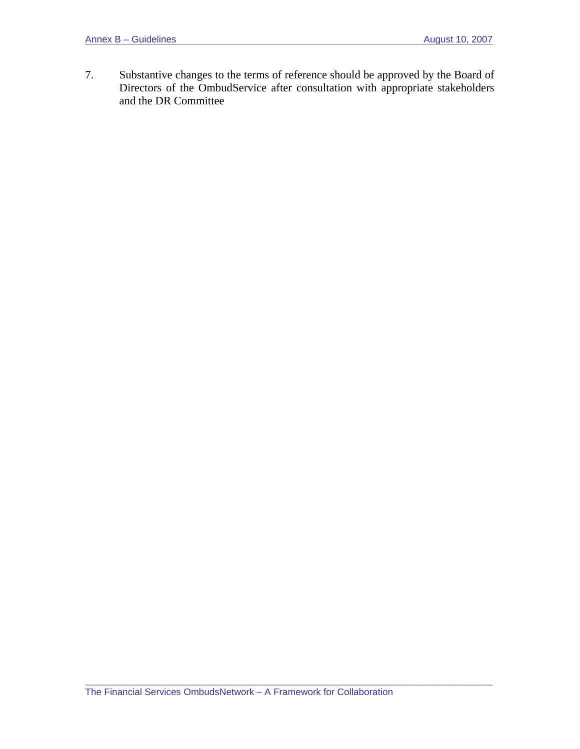7. Substantive changes to the terms of reference should be approved by the Board of Directors of the OmbudService after consultation with appropriate stakeholders and the DR Committee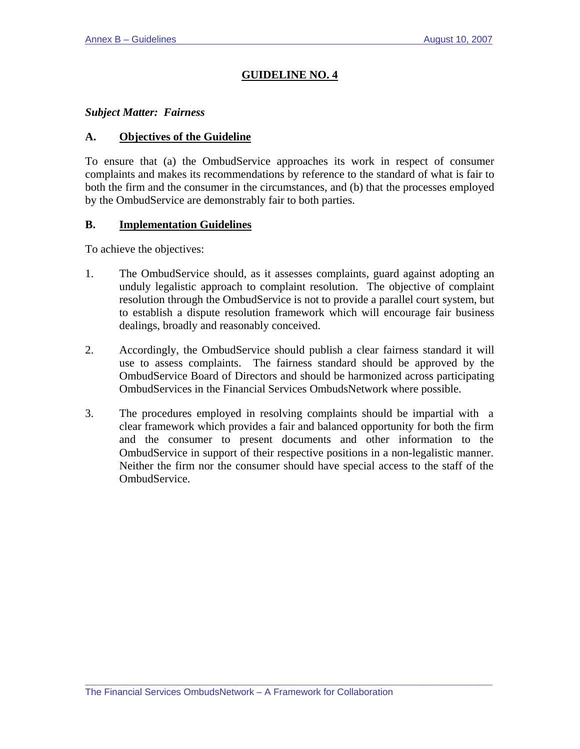## *Subject Matter: Fairness*

### **A. Objectives of the Guideline**

To ensure that (a) the OmbudService approaches its work in respect of consumer complaints and makes its recommendations by reference to the standard of what is fair to both the firm and the consumer in the circumstances, and (b) that the processes employed by the OmbudService are demonstrably fair to both parties.

### **B. Implementation Guidelines**

To achieve the objectives:

- 1. The OmbudService should, as it assesses complaints, guard against adopting an unduly legalistic approach to complaint resolution. The objective of complaint resolution through the OmbudService is not to provide a parallel court system, but to establish a dispute resolution framework which will encourage fair business dealings, broadly and reasonably conceived.
- 2. Accordingly, the OmbudService should publish a clear fairness standard it will use to assess complaints. The fairness standard should be approved by the OmbudService Board of Directors and should be harmonized across participating OmbudServices in the Financial Services OmbudsNetwork where possible.
- 3. The procedures employed in resolving complaints should be impartial with a clear framework which provides a fair and balanced opportunity for both the firm and the consumer to present documents and other information to the OmbudService in support of their respective positions in a non-legalistic manner. Neither the firm nor the consumer should have special access to the staff of the OmbudService.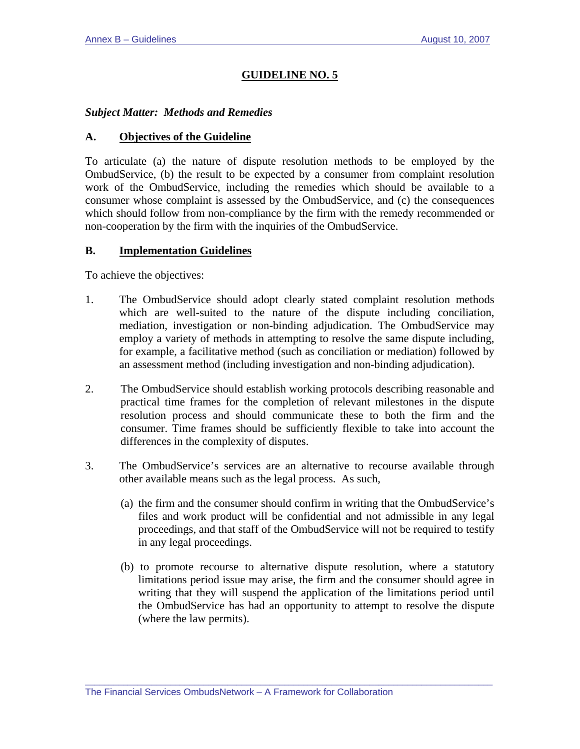## *Subject Matter: Methods and Remedies*

### **A. Objectives of the Guideline**

To articulate (a) the nature of dispute resolution methods to be employed by the OmbudService, (b) the result to be expected by a consumer from complaint resolution work of the OmbudService, including the remedies which should be available to a consumer whose complaint is assessed by the OmbudService, and (c) the consequences which should follow from non-compliance by the firm with the remedy recommended or non-cooperation by the firm with the inquiries of the OmbudService.

### **B. Implementation Guidelines**

To achieve the objectives:

- 1. The OmbudService should adopt clearly stated complaint resolution methods which are well-suited to the nature of the dispute including conciliation, mediation, investigation or non-binding adjudication. The OmbudService may employ a variety of methods in attempting to resolve the same dispute including, for example, a facilitative method (such as conciliation or mediation) followed by an assessment method (including investigation and non-binding adjudication).
- 2. The OmbudService should establish working protocols describing reasonable and practical time frames for the completion of relevant milestones in the dispute resolution process and should communicate these to both the firm and the consumer. Time frames should be sufficiently flexible to take into account the differences in the complexity of disputes.
- 3. The OmbudService's services are an alternative to recourse available through other available means such as the legal process. As such,
	- (a) the firm and the consumer should confirm in writing that the OmbudService's files and work product will be confidential and not admissible in any legal proceedings, and that staff of the OmbudService will not be required to testify in any legal proceedings.
	- (b) to promote recourse to alternative dispute resolution, where a statutory limitations period issue may arise, the firm and the consumer should agree in writing that they will suspend the application of the limitations period until the OmbudService has had an opportunity to attempt to resolve the dispute (where the law permits).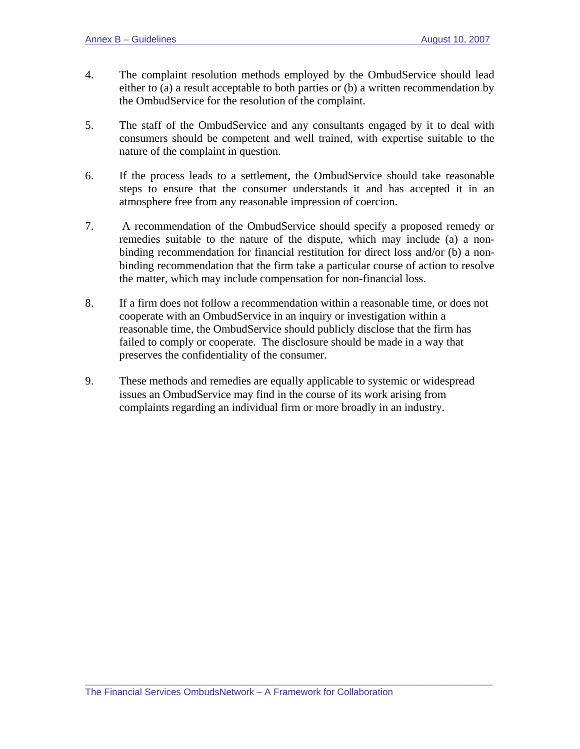- 4. The complaint resolution methods employed by the OmbudService should lead either to (a) a result acceptable to both parties or (b) a written recommendation by the OmbudService for the resolution of the complaint.
- 5. The staff of the OmbudService and any consultants engaged by it to deal with consumers should be competent and well trained, with expertise suitable to the nature of the complaint in question.
- 6. If the process leads to a settlement, the OmbudService should take reasonable steps to ensure that the consumer understands it and has accepted it in an atmosphere free from any reasonable impression of coercion.
- 7. A recommendation of the OmbudService should specify a proposed remedy or remedies suitable to the nature of the dispute, which may include (a) a nonbinding recommendation for financial restitution for direct loss and/or (b) a nonbinding recommendation that the firm take a particular course of action to resolve the matter, which may include compensation for non-financial loss.
- 8. If a firm does not follow a recommendation within a reasonable time, or does not cooperate with an OmbudService in an inquiry or investigation within a reasonable time, the OmbudService should publicly disclose that the firm has failed to comply or cooperate. The disclosure should be made in a way that preserves the confidentiality of the consumer.
- 9. These methods and remedies are equally applicable to systemic or widespread issues an OmbudService may find in the course of its work arising from complaints regarding an individual firm or more broadly in an industry.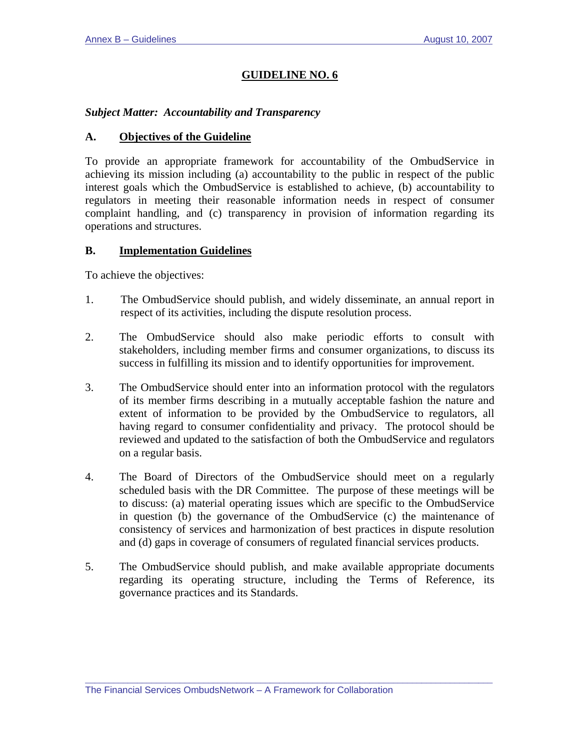# *Subject Matter: Accountability and Transparency*

### **A. Objectives of the Guideline**

To provide an appropriate framework for accountability of the OmbudService in achieving its mission including (a) accountability to the public in respect of the public interest goals which the OmbudService is established to achieve, (b) accountability to regulators in meeting their reasonable information needs in respect of consumer complaint handling, and (c) transparency in provision of information regarding its operations and structures.

### **B. Implementation Guidelines**

To achieve the objectives:

- 1. The OmbudService should publish, and widely disseminate, an annual report in respect of its activities, including the dispute resolution process.
- 2. The OmbudService should also make periodic efforts to consult with stakeholders, including member firms and consumer organizations, to discuss its success in fulfilling its mission and to identify opportunities for improvement.
- 3. The OmbudService should enter into an information protocol with the regulators of its member firms describing in a mutually acceptable fashion the nature and extent of information to be provided by the OmbudService to regulators, all having regard to consumer confidentiality and privacy. The protocol should be reviewed and updated to the satisfaction of both the OmbudService and regulators on a regular basis.
- 4. The Board of Directors of the OmbudService should meet on a regularly scheduled basis with the DR Committee. The purpose of these meetings will be to discuss: (a) material operating issues which are specific to the OmbudService in question (b) the governance of the OmbudService (c) the maintenance of consistency of services and harmonization of best practices in dispute resolution and (d) gaps in coverage of consumers of regulated financial services products.
- 5. The OmbudService should publish, and make available appropriate documents regarding its operating structure, including the Terms of Reference, its governance practices and its Standards.